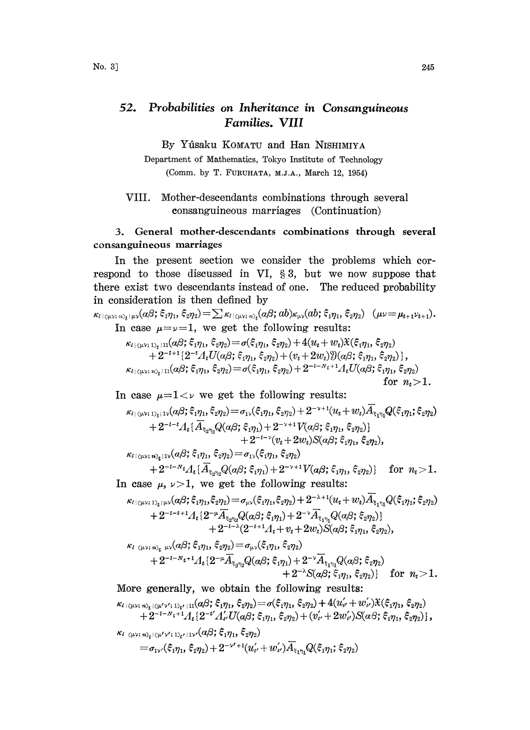## $52.$ Probabilities on Inheritance in Consanguineous Families. VIII

By Yûsaku KOMATU and Han NISHIMIYA

Department of Mathematics, Tokyo Institute of Technology (Comm. by T. FURUHATA, M.J.A., March 12, 1954)

## VIII. Mother-descendants combinations through several consanguineous marriages (Continuation)

## 3. General mother-descendants combinations through several consanguineous marriages

In the present section we consider the problems which correspond to those discussed in VI,  $\S 3$ , but we now suppose that there exist two descendants instead of one. The reduced probability in consideration is then defined by

 $\kappa_{\ell_1(\mu\nu;\;n)_t|\mu\nu}(\alpha\beta;\xi_1\eta_1,\xi_2\eta_2) = \sum \kappa_{\ell_1(\mu\nu;\;n)_t}(\alpha\beta;\,ab)\kappa_{\mu\nu}(ab;\xi_1\eta_1,\xi_2\eta_2) \;\; (\mu\nu = \mu_{t+1}\nu_{t+1}).$ In case  $\mu = \nu = 1$ , we get the following results:  $\begin{aligned} \kappa_{l\,|\,(\mu\nu;\,1)_t\,|\,11}(\alpha\beta;\,\xi_1\eta_1,\,\xi_2\eta_2) & = \sigma(\xi_1\eta_1,\,\xi_2\eta_2) + 4(u_t+w_t)\mathfrak{X}(\xi_1\eta_1,\,\xi_2\eta_2) \\ & + 2^{-t+1}\{2^{-t}A_tU(\alpha\beta;\,\xi_1\eta_1,\,\xi_2\eta_2) + (v_t+2w_t)\mathfrak{Y}(\alpha\beta;\,\xi_1\eta_1,\,\xi_2\eta_2)\}\,, \end{aligned}$  $\kappa_{l\,|\,\langle\mu\nu;\,n\rangle_t+11}(\alpha\beta;\,\xi_1\eta_1,\,\xi_2\eta_2)\!=\!\sigma(\xi_1\eta_1,\,\xi_2\eta_2)+2^{-l-N_t+1}\varLambda_tU(\alpha\beta;\,\xi_1\eta_1,\,\xi_2\eta_2)$ for  $n > 1$ .

In case  $\mu=1<\nu$  we get the following results:

$$
\kappa_{\ell(\langle \mu \nu;\, 1 \rangle_t | 1 \rangle}(a \beta; \xi_1 \eta_1, \xi_2 \eta_2) = \sigma_{1 \nu}(\xi_1 \eta_1, \xi_2 \eta_2) + 2^{-\nu+1} (u_t + w_t) \overline{A}_{\xi_1 \eta_1} Q(\xi_1 \eta_1; \xi_2 \eta_2) + 2^{-\iota - t} A_t \{\overline{A}_{\xi_2 \eta_2} Q(a \beta; \xi_1 \eta_1) + 2^{-\nu+1} V(a \beta; \xi_1 \eta_1, \xi_2 \eta_2)\} + 2^{-\iota - \nu} (v_t + 2w_t) S(a \beta; \xi_1 \eta_1, \xi_2 \eta_2), \kappa_{\ell(\langle \mu \nu;\, n \rangle_t | 1 \nu}(a \beta; \xi_1 \eta_1, \xi_2 \eta_2) = \sigma_{1 \nu}(\xi_1 \eta_1, \xi_2 \eta_2)
$$

$$
+2^{-i-N_t}\Lambda_t\{\overline{A}_{\xi_2\eta_2}Q(\alpha\beta;\xi_1\eta_1)+2^{-\nu+1}V(\alpha\beta;\xi_1\eta_1,\xi_2\eta_2)\}\
$$
 for  $n_t>1$ .

In case  $\mu$ ,  $\nu>1$ , we get the following results:

$$
\begin{aligned} \kappa_{l\,|\,\langle\mu\nu\rangle\,1\,\rangle_t\,|\mu\nu}(\alpha\beta;\xi_1\eta_1,\xi_2\eta_2) & = \sigma_{\mu\nu}(\xi_1\eta_1,\xi_2\eta_2) + 2^{-\lambda+1}(u_t+w_t)A_{\xi_1\eta_1}Q(\xi_1\eta_1;\xi_2\eta_2) \\ & + 2^{-l-t+1}A_t\{2^{-\mu}\overline{A}_{\xi_2\eta_2}Q(\alpha\beta;\xi_1\eta_1) + 2^{-\nu}\overline{A}_{\xi_1\eta_1}Q(\alpha\beta;\xi_2\eta_2)\} \\ & + 2^{-l-\lambda}(2^{-l+1}A_t+v_t+2w_t)S(\alpha\beta;\xi_1\eta_1,\xi_2\eta_2), \end{aligned}
$$

$$
\kappa_{l\,\,(\mu\nu;\,n)}\,\,{}_{\mu\nu}(\alpha\beta;\xi_1\eta_1,\xi_2\eta_2) = \sigma_{\mu\nu}(\xi_1\eta_1,\xi_2\eta_2) +2^{-l-N_t+1}A_t\{2^{-\mu}\overline{A}_{\xi_2\eta_2}Q(\alpha\beta;\xi_1\eta_1)+2^{-\nu}\overline{A}_{\xi_1\eta_1}Q(\alpha\beta;\xi_2\eta_2) +2^{-\lambda}S(\alpha\beta;\xi_1\eta_1,\xi_2\eta_2)\}\quad \text{for}\ \ n_t>1.
$$

More generally, we obtain the following results:

$$
\kappa_{l\,|\langle \mu\nu;\,n\rangle_{t}\,|\langle \mu'\nu';\,1\rangle_{t'}\,|\,11}(\alpha\beta;\xi_{1}\eta_{1},\xi_{2}\eta_{2})\!=\!\sigma(\xi_{1}\eta_{1},\xi_{2}\eta_{2})\!+\!4(u'_{\nu}\!+\!w'_{\nu})\mathfrak{X}(\xi_{1}\eta_{1},\xi_{2}\eta_{2})\\+\!2^{-l-N_{t}+1}A_{t}\{2^{-t'}A'_{\nu}U(\alpha\beta;\xi_{1}\eta_{1},\xi_{2}\eta_{2})+(v'_{\nu}+2w'_{\nu})S(\alpha\beta;\xi_{1}\eta_{1},\xi_{2}\eta_{2})\},
$$

 $\begin{split} \kappa_{l-\langle \mu\nu;\,n\rangle_t|\langle \mu'\nu';\,1\rangle_{t'}|\,1\nu'}(a\beta;\,\xi_1\eta_1,\,\xi_2\eta_2) \ =\ &\sigma_{1\nu'}(\xi_1\eta_1,\,\xi_2\eta_2)+2^{-\nu'+1}(u'_{\iota'}+w'_{\iota'})\overline{A}_{\varepsilon\cdot n}.Q(\xi_1\eta_1;\,\xi_2\eta_2) \end{split}$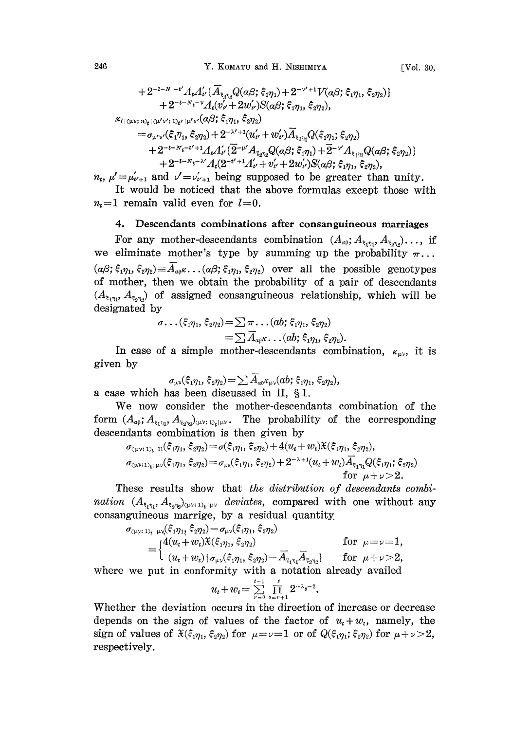246 Y. KOMATU and H. NISHIMIYA

$$
+ 2^{-i-N-i'}A_tA'_{t'}\{\overline{A}_{\xi_2\eta_2}Q(a\beta;\xi_1\eta_1)+2^{-\nu'+1}V(a\beta;\xi_1\eta_1,\xi_2\eta_2)\} \\ + 2^{-i-N_t-\nu}A_t(\overline{v'_{t'}}+2w'_{t'})S(a\beta;\xi_1\eta_1,\xi_2\eta_2),\\ \kappa_{l\mid(\mu\nu;\,n)_{t}\mid(\mu'\nu';1)_{t'}\mid\mu'\nu'}(a\beta;\xi_1\eta_1,\xi_2\eta_2)\\ = \sigma_{\mu'\nu'}(\xi_1\eta_1,\xi_2\eta_2)+2^{-\lambda'+1}(u'_{t'}+w'_{t'})\overline{A}_{\xi_1\eta_1}Q(\xi_1\eta_1;\xi_2\eta_2)\\ + 2^{-i-N_t-t'+1}A_tA'_{t'}\{\overline{2}^{-\mu'}A_{\xi_2\eta_2}Q(a\beta;\xi_1\eta_1)+\overline{2}^{-\nu'}A_{\xi_1\eta_1}Q(a\beta;\xi_2\eta_2)\} \\ + 2^{-i-N_t-\lambda'}A_t(2^{-t'+1}A'_{t'}+v'_{t'}+2w'_{t'})S(a\beta;\xi_1\eta_1,\xi_2\eta_2).
$$

 $+Z^{-\nu-1}i^{-\lambda} A_t (Z^{-\nu+1}A_\nu+v_\nu+2w_\nu)S(\alpha\beta;\xi_1\eta_1,\xi_2\eta_2),$ <br>  $n_t, \mu'=\mu'_{\nu+1}$  and  $\nu'=\nu'_{\nu+1}$  being supposed to be greater than unity.

It would be noticed that the above formulas except those with  $n_t=1$  remain valid even for  $l=0$ .

## 4. Descendants combinations after consanguineous marriages

For any mother-descendants combination  $(A_{\alpha\beta}; A_{\xi_1\eta_1}, A_{\xi_2\eta_2})$ ..., if we eliminate mother's type by summing up the probability  $\pi$ ...  $(a\beta;\xi_1\eta_1,\xi_2\eta_2)\equiv\overline{A}_{a\beta}\kappa\ldots(a\beta;\xi_1\eta_1,\xi_2\eta_2)$  over all the possible genotypes of mother, then we obtain the probability of a pair of descendants  $(A_{\xi_1\eta_1}, A_{\xi_2\eta_2})$  of assigned consanguineous relationship, which will be designated by

$$
\sigma\ldots(\xi_1\eta_1,\xi_2\eta_2) = \sum \pi\ldots (ab;\xi_1\eta_1,\xi_2\eta_2) \n\equiv \sum \overline{A}_{\alpha\beta}\kappa\ldots (ab;\xi_1\eta_1,\xi_2\eta_2).
$$

In case of a simple mother-descendants combination,  $\kappa_{\mu\nu}$ , it is given by

$$
\sigma_{\mu\nu}(\xi_1\eta_1, \xi_2\eta_2) = \sum \overline{A}_{ab}\epsilon_{\mu\nu}(ab; \xi_1\eta_1, \xi_2\eta_2),
$$
 a case which has been discussed in II, § 1.

We now consider the mother-descendants combination of the form  $(A_{\alpha\beta}; A_{\xi_1\eta_1}, A_{\xi_2\eta_2})_{(\mu\nu;\;1)_t|\mu\nu}$ . The probability of the corresponding descendants combination is then given by

$$
\sigma_{(\mu\nu; 1)} \mathcal{F}_{\mu\nu}(\xi_1 \eta_1, \xi_2 \eta_2) = \sigma(\xi_1 \eta_1, \xi_2 \eta_2) + 4(u_t + w_t) \mathcal{K}(\xi_1 \eta_1, \xi_2 \eta_2),
$$
  
\n
$$
\sigma_{(\mu\nu; 1)} \mathcal{F}_{\mu\nu}(\xi_1 \eta_1, \xi_2 \eta_2) = \sigma_{\mu\nu}(\xi_1 \eta_1, \xi_2 \eta_2) + 2^{-\lambda+1} (u_t + w_t) \overline{A}_{\xi_1 \eta_1} Q(\xi_1 \eta_1, \xi_2 \eta_2)
$$
  
\nfor  $\mu + \nu > 2$ .

These results show that the distribution of descendants combination  $(A_{\xi_1\eta_1}, A_{\xi_2\eta_2})_{(\mu\nu;\;1)_t}$  deviates, compared with one without any consanguineous marrige, by a residual quantity.

$$
\sigma_{\langle \mu \rangle; 1\rangle_t | \mu \rangle_t}(\hat{\xi}_1 \eta_1, \hat{\xi}_2 \eta_2) - \sigma_{\mu \rangle}(\hat{\xi}_1 \eta_1, \hat{\xi}_2 \eta_2)
$$
\n
$$
= \begin{cases}\n4(u_t + w_t) \hat{\chi}(\hat{\xi}_1 \eta_1, \hat{\xi}_2 \eta_2) & \text{for } \mu = \nu = 1, \\
(u_t + w_t) \{ \sigma_{\mu \lambda}(\hat{\xi}_1 \eta_1, \hat{\xi}_2 \eta_2) - \overline{A}_{\xi_1 \eta_1} \overline{A}_{\xi_2 \eta_2} \} & \text{for } \mu + \nu > 2, \\
\text{where we put in conformity with a notation already available}\n\end{cases}
$$

$$
u_t + w_t = \sum_{r=0}^{t-1} \prod_{s=r+1}^t 2^{-\lambda_s - 2}.
$$

Whether the deviation occurs in the direction of increase or decrease depends on the sign of values of the factor of  $u_t + w_t$ , namely, the sign of values of  $\mathfrak{X}(\xi_1 \eta_1, \xi_2 \eta_2)$  for  $\mu = \nu = 1$  or of  $Q(\xi_1 \eta_1, \xi_2 \eta_2)$  for  $\mu + \nu > 2$ , respectively.